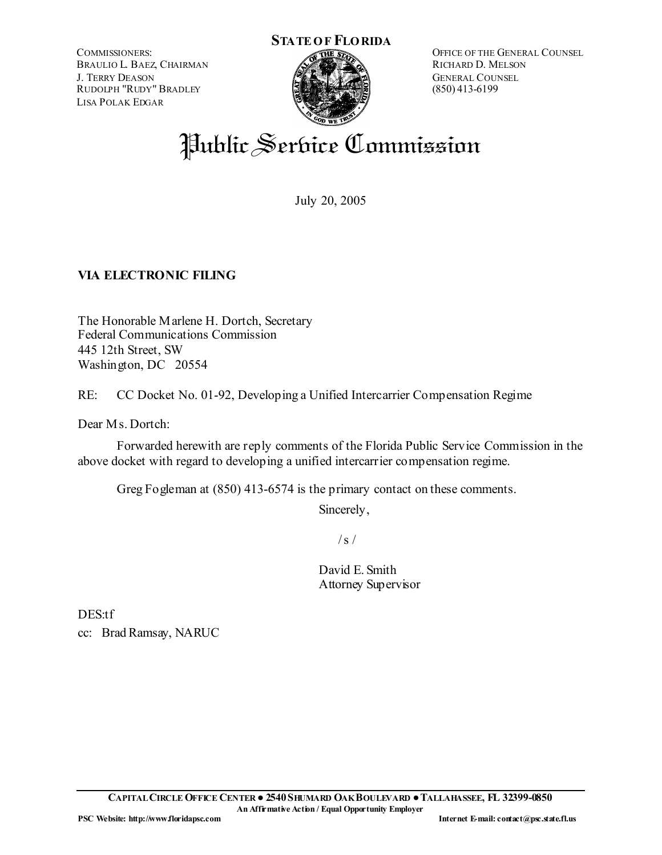COMMISSIONERS: BRAULIO L. BAEZ, CHAIRMAN J. TERRY DEASON RUDOLPH "RUDY" BRADLEY LISA POLAK EDGAR



OFFICE OF THE GENERAL COUNSEL RICHARD D. MELSON GENERAL COUNSEL (850) 413-6199

# Public Service Commission

July 20, 2005

# **VIA ELECTRONIC FILING**

The Honorable Marlene H. Dortch, Secretary Federal Communications Commission 445 12th Street, SW Washington, DC 20554

RE: CC Docket No. 01-92, Developing a Unified Intercarrier Compensation Regime

Dear M<sub>s</sub>. Dortch:

 Forwarded herewith are reply comments of the Florida Public Service Commission in the above docket with regard to developing a unified intercarrier compensation regime.

Greg Fogleman at (850) 413-6574 is the primary contact on these comments.

Sincerely,

 $/s/$ 

David E. Smith Attorney Supervisor

DES:tf cc: Brad Ramsay, NARUC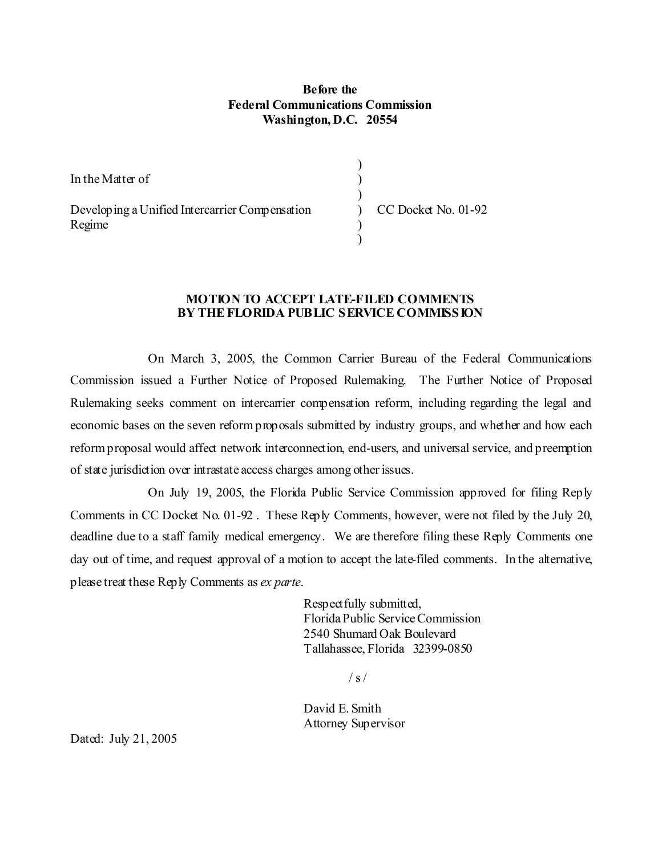#### **Before the Federal Communications Commission Washington, D.C. 20554**

) ) )

> $\mathcal{L}$  $\mathcal{L}$

In the Matter of

Developing a Unified Intercarrier Compensation Regime

) CC Docket No. 01-92

#### **MOTION TO ACCEPT LATE-FILED COMMENTS BY THE FLORIDA PUBLIC SERVICE COMMISSION**

 On March 3, 2005, the Common Carrier Bureau of the Federal Communications Commission issued a Further Notice of Proposed Rulemaking. The Further Notice of Proposed Rulemaking seeks comment on intercarrier compensation reform, including regarding the legal and economic bases on the seven reform proposals submitted by industry groups, and whether and how each reform proposal would affect network interconnection, end-users, and universal service, and preemption of state jurisdiction over intrastate access charges among other issues.

On July 19, 2005, the Florida Public Service Commission approved for filing Reply Comments in CC Docket No. 01-92 . These Reply Comments, however, were not filed by the July 20, deadline due to a staff family medical emergency. We are therefore filing these Reply Comments one day out of time, and request approval of a motion to accept the late-filed comments. In the alternative, please treat these Reply Comments as *ex parte*.

> Respectfully submitted, Florida Public Service Commission 2540 Shumard Oak Boulevard Tallahassee, Florida 32399-0850

> > $/ s /$

David E. Smith Attorney Supervisor

Dated: July 21, 2005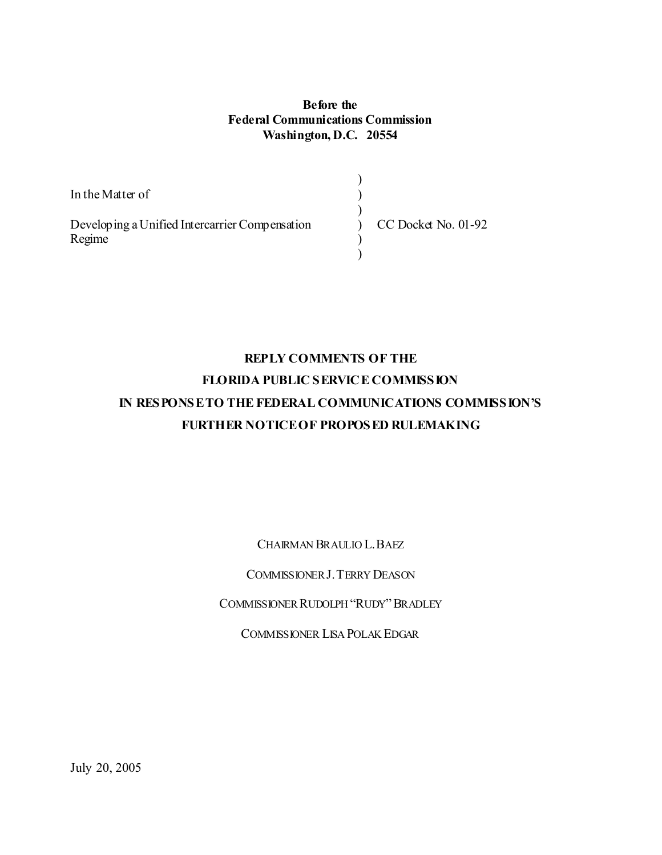#### **Before the Federal Communications Commission Washington, D.C. 20554**

) ) ) ) )  $\lambda$ 

In the Matter of

Developing a Unified Intercarrier Compensation Regime

CC Docket No. 01-92

# **REPLY COMMENTS OF THE FLORIDA PUBLIC SERVICE COMMISSION IN RESPONSE TO THE FEDERAL COMMUNICATIONS COMMISSION'S FURTHER NOTICE OF PROPOSED RULEMAKING**

CHAIRMAN BRAULIO L.BAEZ

COMMISSIONER J.TERRY DEASON

COMMISSIONER RUDOLPH "RUDY"BRADLEY

COMMISSIONER LISA POLAK EDGAR

July 20, 2005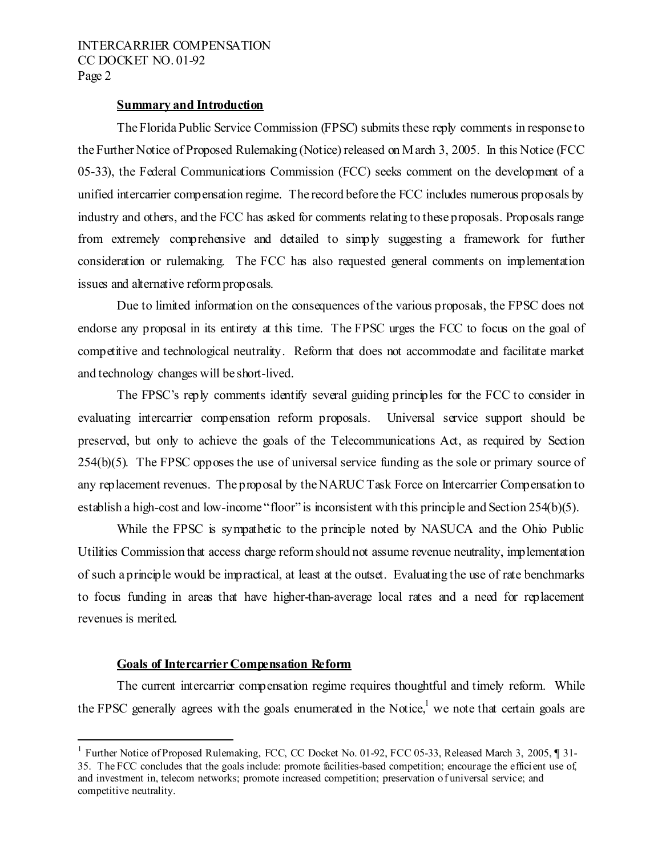#### **Summary and Introduction**

 The Florida Public Service Commission (FPSC) submits these reply comments in response to the Further Notice of Proposed Rulemaking (Notice) released on March 3, 2005. In this Notice (FCC 05-33), the Federal Communications Commission (FCC) seeks comment on the development of a unified intercarrier compensation regime. The record before the FCC includes numerous proposals by industry and others, and the FCC has asked for comments relating to these proposals. Proposals range from extremely comprehensive and detailed to simply suggesting a framework for further consideration or rulemaking. The FCC has also requested general comments on implementation issues and alternative reform proposals.

 Due to limited information on the consequences of the various proposals, the FPSC does not endorse any proposal in its entirety at this time. The FPSC urges the FCC to focus on the goal of competitive and technological neutrality. Reform that does not accommodate and facilitate market and technology changes will be short-lived.

 The FPSC's reply comments identify several guiding principles for the FCC to consider in evaluating intercarrier compensation reform proposals. Universal service support should be preserved, but only to achieve the goals of the Telecommunications Act, as required by Section 254(b)(5). The FPSC opposes the use of universal service funding as the sole or primary source of any replacement revenues. The proposal by the NARUC Task Force on Intercarrier Compensation to establish a high-cost and low-income "floor" is inconsistent with this principle and Section 254(b)(5).

While the FPSC is sympathetic to the principle noted by NASUCA and the Ohio Public Utilities Commission that access charge reform should not assume revenue neutrality, implementation of such a principle would be impractical, at least at the outset. Evaluating the use of rate benchmarks to focus funding in areas that have higher-than-average local rates and a need for replacement revenues is merited.

#### **Goals of Intercarrier Compensation Reform**

j

The current intercarrier compensation regime requires thoughtful and timely reform. While the FPSC generally agrees with the goals enumerated in the Notice,<sup>1</sup> we note that certain goals are

<sup>&</sup>lt;sup>1</sup> Further Notice of Proposed Rulemaking, FCC, CC Docket No. 01-92, FCC 05-33, Released March 3, 2005, ¶ 31-35. The FCC concludes that the goals include: promote facilities-based competition; encourage the efficient use of, and investment in, telecom networks; promote increased competition; preservation of universal service; and competitive neutrality.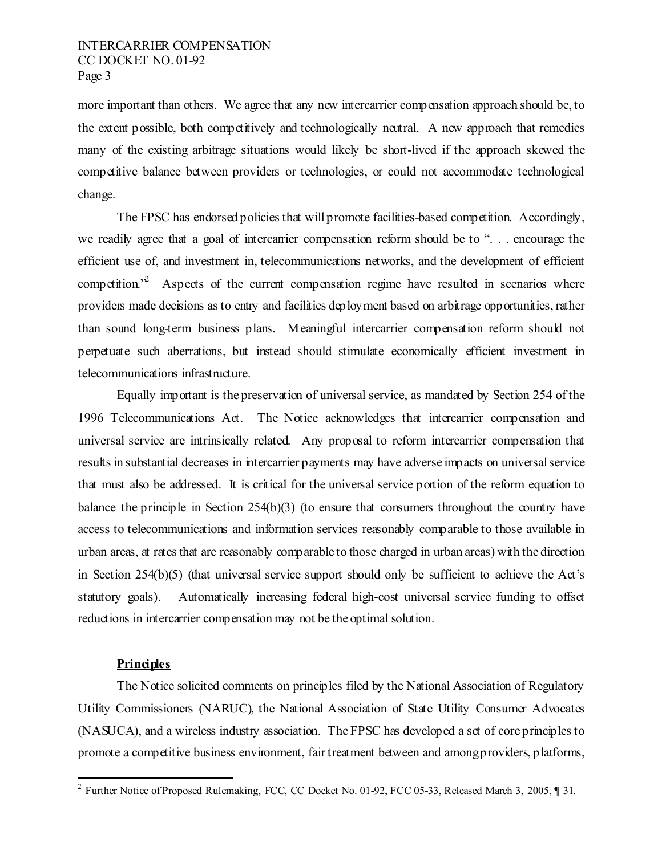more important than others. We agree that any new intercarrier compensation approach should be, to the extent possible, both competitively and technologically neutral. A new approach that remedies many of the existing arbitrage situations would likely be short-lived if the approach skewed the competitive balance between providers or technologies, or could not accommodate technological change.

The FPSC has endorsed policies that will promote facilities-based competition. Accordingly, we readily agree that a goal of intercarrier compensation reform should be to ". . . encourage the efficient use of, and investment in, telecommunications networks, and the development of efficient competition.<sup>2</sup> Aspects of the current compensation regime have resulted in scenarios where providers made decisions as to entry and facilities deployment based on arbitrage opportunities, rather than sound long-term business plans. Meaningful intercarrier compensation reform should not perpetuate such aberrations, but instead should stimulate economically efficient investment in telecommunications infrastructure.

Equally important is the preservation of universal service, as mandated by Section 254 of the 1996 Telecommunications Act. The Notice acknowledges that intercarrier compensation and universal service are intrinsically related. Any proposal to reform intercarrier compensation that results in substantial decreases in intercarrier payments may have adverse impacts on universal service that must also be addressed. It is critical for the universal service portion of the reform equation to balance the principle in Section 254(b)(3) (to ensure that consumers throughout the country have access to telecommunications and information services reasonably comparable to those available in urban areas, at rates that are reasonably comparable to those charged in urban areas) with the direction in Section 254(b)(5) (that universal service support should only be sufficient to achieve the Act's statutory goals). Automatically increasing federal high-cost universal service funding to offset reductions in intercarrier compensation may not be the optimal solution.

# **Principles**

.

 The Notice solicited comments on principles filed by the National Association of Regulatory Utility Commissioners (NARUC), the National Association of State Utility Consumer Advocates (NASUCA), and a wireless industry association. The FPSC has developed a set of core principles to promote a competitive business environment, fair treatment between and among providers, platforms,

<sup>&</sup>lt;sup>2</sup> Further Notice of Proposed Rulemaking, FCC, CC Docket No. 01-92, FCC 05-33, Released March 3, 2005, 1 31.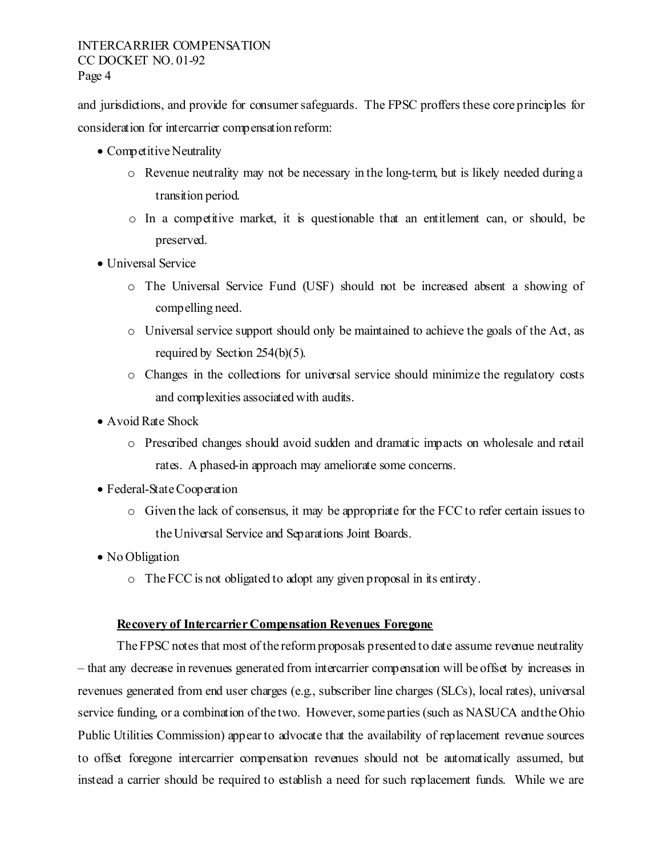and jurisdictions, and provide for consumer safeguards. The FPSC proffers these core principles for consideration for intercarrier compensation reform:

- Competitive Neutrality
	- o Revenue neutrality may not be necessary in the long-term, but is likely needed during a transition period.
	- o In a competitive market, it is questionable that an entitlement can, or should, be preserved.
- Universal Service
	- o The Universal Service Fund (USF) should not be increased absent a showing of compelling need.
	- $\circ$  Universal service support should only be maintained to achieve the goals of the Act, as required by Section 254(b)(5).
	- o Changes in the collections for universal service should minimize the regulatory costs and complexities associated with audits.
- Avoid Rate Shock
	- o Prescribed changes should avoid sudden and dramatic impacts on wholesale and retail rates. A phased-in approach may ameliorate some concerns.
- Federal-State Cooperation
	- o Given the lack of consensus, it may be appropriate for the FCC to refer certain issues to the Universal Service and Separations Joint Boards.
- No Obligation
	- o The FCC is not obligated to adopt any given proposal in its entirety.

#### **Recovery of Intercarrier Compensation Revenues Foregone**

 The FPSC notes that most of the reform proposals presented to date assume revenue neutrality – that any decrease in revenues generated from intercarrier compensation will be offset by increases in revenues generated from end user charges (e.g., subscriber line charges (SLCs), local rates), universal service funding, or a combination of the two. However, some parties (such as NASUCA and the Ohio Public Utilities Commission) appear to advocate that the availability of replacement revenue sources to offset foregone intercarrier compensation revenues should not be automatically assumed, but instead a carrier should be required to establish a need for such replacement funds. While we are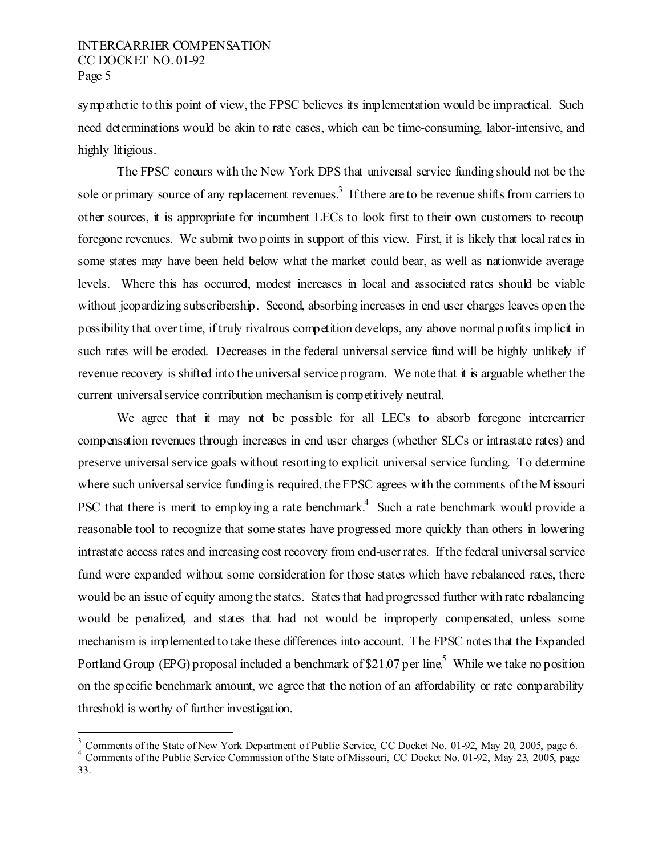sympathetic to this point of view, the FPSC believes its implementation would be impractical. Such need determinations would be akin to rate cases, which can be time-consuming, labor-intensive, and highly litigious.

 The FPSC concurs with the New York DPS that universal service funding should not be the sole or primary source of any replacement revenues.<sup>3</sup> If there are to be revenue shifts from carriers to other sources, it is appropriate for incumbent LECs to look first to their own customers to recoup foregone revenues. We submit two points in support of this view. First, it is likely that local rates in some states may have been held below what the market could bear, as well as nationwide average levels. Where this has occurred, modest increases in local and associated rates should be viable without jeopardizing subscribership. Second, absorbing increases in end user charges leaves open the possibility that over time, if truly rivalrous competition develops, any above normal profits implicit in such rates will be eroded. Decreases in the federal universal service fund will be highly unlikely if revenue recovery is shifted into the universal service program. We note that it is arguable whether the current universal service contribution mechanism is competitively neutral.

We agree that it may not be possible for all LECs to absorb foregone intercarrier compensation revenues through increases in end user charges (whether SLCs or intrastate rates) and preserve universal service goals without resorting to explicit universal service funding. To determine where such universal service funding is required, the FPSC agrees with the comments of the M issouri PSC that there is merit to employing a rate benchmark.<sup>4</sup> Such a rate benchmark would provide a reasonable tool to recognize that some states have progressed more quickly than others in lowering intrastate access rates and increasing cost recovery from end-user rates. If the federal universal service fund were expanded without some consideration for those states which have rebalanced rates, there would be an issue of equity among the states. States that had progressed further with rate rebalancing would be penalized, and states that had not would be improperly compensated, unless some mechanism is implemented to take these differences into account. The FPSC notes that the Expanded Portland Group (EPG) proposal included a benchmark of \$21.07 per line.<sup>5</sup> While we take no position on the specific benchmark amount, we agree that the notion of an affordability or rate comparability threshold is worthy of further investigation.

<sup>&</sup>lt;sup>3</sup> Comments of the State of New York Department of Public Service, CC Docket No. 01-92, May 20, 2005, page 6.<br><sup>4</sup> Comments of the Public Service Commission of the State of Missouri, CC Docket No. 01-92, May 23, 2005, page

<sup>33.</sup>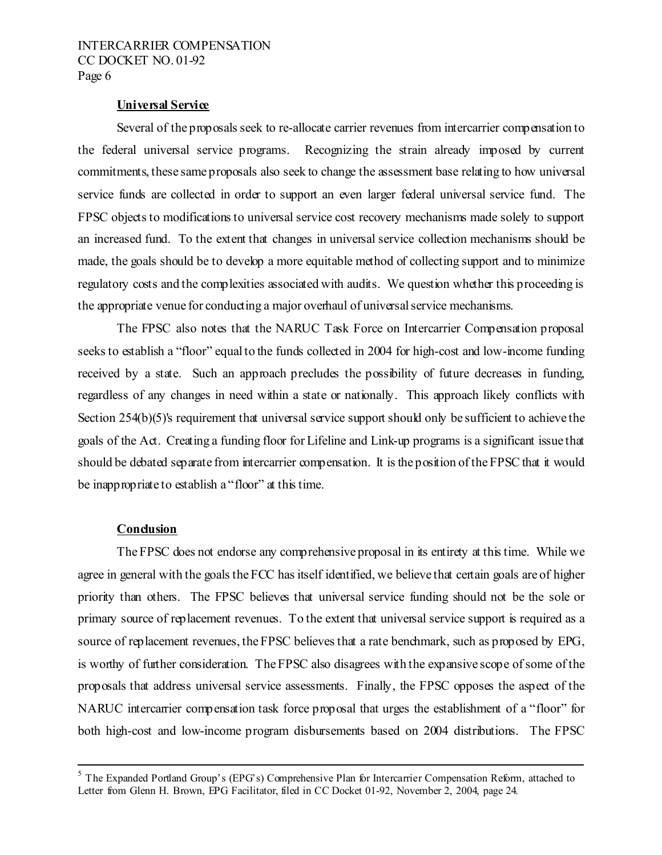#### **Universal Service**

 Several of the proposals seek to re-allocate carrier revenues from intercarrier compensation to the federal universal service programs. Recognizing the strain already imposed by current commitments, these same proposals also seek to change the assessment base relating to how universal service funds are collected in order to support an even larger federal universal service fund. The FPSC objects to modifications to universal service cost recovery mechanisms made solely to support an increased fund. To the extent that changes in universal service collection mechanisms should be made, the goals should be to develop a more equitable method of collecting support and to minimize regulatory costs and the complexities associated with audits. We question whether this proceeding is the appropriate venue for conducting a major overhaul of universal service mechanisms.

The FPSC also notes that the NARUC Task Force on Intercarrier Compensation proposal seeks to establish a "floor" equal to the funds collected in 2004 for high-cost and low-income funding received by a state. Such an approach precludes the possibility of future decreases in funding, regardless of any changes in need within a state or nationally. This approach likely conflicts with Section 254(b)(5)'s requirement that universal service support should only be sufficient to achieve the goals of the Act. Creating a funding floor for Lifeline and Link-up programs is a significant issue that should be debated separate from intercarrier compensation. It is the position of the FPSC that it would be inappropriate to establish a "floor" at this time.

#### **Conclusion**

 The FPSC does not endorse any comprehensive proposal in its entirety at this time. While we agree in general with the goals the FCC has itself identified, we believe that certain goals are of higher priority than others. The FPSC believes that universal service funding should not be the sole or primary source of replacement revenues. To the extent that universal service support is required as a source of replacement revenues, the FPSC believes that a rate benchmark, such as proposed by EPG, is worthy of further consideration. The FPSC also disagrees with the expansive scope of some of the proposals that address universal service assessments. Finally, the FPSC opposes the aspect of the NARUC intercarrier compensation task force proposal that urges the establishment of a "floor" for both high-cost and low-income program disbursements based on 2004 distributions. The FPSC

 $\frac{1}{5}$  $<sup>5</sup>$  The Expanded Portland Group's (EPG's) Comprehensive Plan for Intercarrier Compensation Reform, attached to</sup> Letter from Glenn H. Brown, EPG Facilitator, filed in CC Docket 01-92, November 2, 2004, page 24.